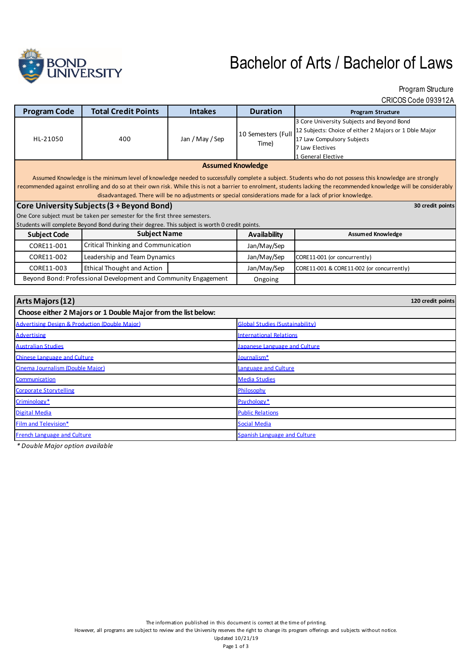

# Bachelor of Arts / Bachelor of Laws

Program Structure

CRICOS Code 093912A

| <b>Program Code</b>                                                                                                                                                                                                                                                                                                                                         | <b>Total Credit Points</b>                 | <b>Intakes</b>      | <b>Duration</b>                        | <b>Program Structure</b>                                                                                                                                                    |  |
|-------------------------------------------------------------------------------------------------------------------------------------------------------------------------------------------------------------------------------------------------------------------------------------------------------------------------------------------------------------|--------------------------------------------|---------------------|----------------------------------------|-----------------------------------------------------------------------------------------------------------------------------------------------------------------------------|--|
| HL-21050                                                                                                                                                                                                                                                                                                                                                    | 400                                        | Jan / May / Sep     | 10 Semesters (Full<br>Time)            | 3 Core University Subjects and Beyond Bond<br>12 Subjects: Choice of either 2 Majors or 1 Dble Major<br>17 Law Compulsory Subjects<br>7 Law Electives<br>1 General Elective |  |
| <b>Assumed Knowledge</b><br>Assumed Knowledge is the minimum level of knowledge needed to successfully complete a subject. Students who do not possess this knowledge are strongly<br>recommended against enrolling and do so at their own risk. While this is not a barrier to enrolment, students lacking the recommended knowledge will be considerably  |                                            |                     |                                        |                                                                                                                                                                             |  |
| disadvantaged. There will be no adjustments or special considerations made for a lack of prior knowledge.<br>Core University Subjects (3 + Beyond Bond)<br>30 credit points<br>One Core subject must be taken per semester for the first three semesters.<br>Students will complete Beyond Bond during their degree. This subject is worth 0 credit points. |                                            |                     |                                        |                                                                                                                                                                             |  |
| <b>Subject Name</b><br><b>Subject Code</b>                                                                                                                                                                                                                                                                                                                  |                                            | <b>Availability</b> | <b>Assumed Knowledge</b>               |                                                                                                                                                                             |  |
| CORE11-001                                                                                                                                                                                                                                                                                                                                                  | <b>Critical Thinking and Communication</b> |                     | Jan/May/Sep                            |                                                                                                                                                                             |  |
| CORE11-002                                                                                                                                                                                                                                                                                                                                                  | Leadership and Team Dynamics               |                     | Jan/May/Sep                            | CORE11-001 (or concurrently)                                                                                                                                                |  |
| CORE11-003                                                                                                                                                                                                                                                                                                                                                  | <b>Ethical Thought and Action</b>          |                     | Jan/May/Sep                            | CORE11-001 & CORE11-002 (or concurrently)                                                                                                                                   |  |
| Beyond Bond: Professional Development and Community Engagement                                                                                                                                                                                                                                                                                              |                                            |                     | Ongoing                                |                                                                                                                                                                             |  |
|                                                                                                                                                                                                                                                                                                                                                             |                                            |                     |                                        |                                                                                                                                                                             |  |
| Arts Majors (12)<br>120 credit points                                                                                                                                                                                                                                                                                                                       |                                            |                     |                                        |                                                                                                                                                                             |  |
| Choose either 2 Majors or 1 Double Major from the list below:                                                                                                                                                                                                                                                                                               |                                            |                     |                                        |                                                                                                                                                                             |  |
| <b>Advertising Design &amp; Production (Double Major)</b>                                                                                                                                                                                                                                                                                                   |                                            |                     | <b>Global Studies (Sustainability)</b> |                                                                                                                                                                             |  |
| <b>Advertising</b>                                                                                                                                                                                                                                                                                                                                          |                                            |                     | <b>International Relations</b>         |                                                                                                                                                                             |  |

| <b>Advertising</b>                 | <u>International Relations</u> |  |
|------------------------------------|--------------------------------|--|
| <b>Australian Studies</b>          | Japanese Language and Culture  |  |
| Chinese Language and Culture       | Journalism*                    |  |
| Cinema Journalism (Double Maior)   | Language and Culture           |  |
| Communication                      | <b>Media Studies</b>           |  |
| <b>Corporate Storytelling</b>      | Philosophy                     |  |
| Criminology*                       | Psychology*                    |  |
| <b>Digital Media</b>               | <b>Public Relations</b>        |  |
| Film and Television*               | <b>Social Media</b>            |  |
| <b>French Language and Culture</b> | Spanish Language and Culture   |  |

*\* Double Major option available*

The information published in this document is correct at the time of printing.

However, all programs are subject to review and the University reserves the right to change its program offerings and subjects without notice.

Updated 10/21/19 Page 1 of 3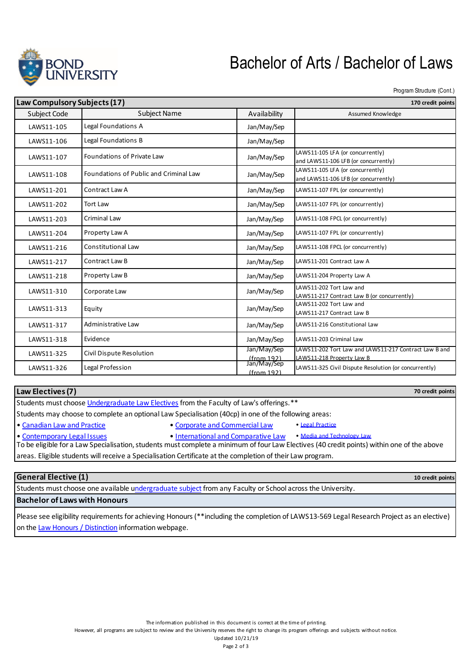

## Bachelor of Arts / Bachelor of Laws

Program Structure (Cont.)

**70 credit points**

**10 credit points**

|                               | Law Compulsory Subjects (17)                                                                                                                                                                               |                           | 170 credit points            |                                                                                    |
|-------------------------------|------------------------------------------------------------------------------------------------------------------------------------------------------------------------------------------------------------|---------------------------|------------------------------|------------------------------------------------------------------------------------|
|                               | Subject Code                                                                                                                                                                                               | <b>Subject Name</b>       |                              | Assumed Knowledge                                                                  |
|                               | Legal Foundations A<br>LAWS11-105<br>Legal Foundations B<br>LAWS11-106<br>Foundations of Private Law<br>LAWS11-107<br>Foundations of Public and Criminal Law<br>LAWS11-108<br>Contract Law A<br>LAWS11-201 |                           | Jan/May/Sep                  |                                                                                    |
|                               |                                                                                                                                                                                                            |                           | Jan/May/Sep                  |                                                                                    |
|                               |                                                                                                                                                                                                            |                           | Jan/May/Sep                  | LAWS11-105 LFA (or concurrently)<br>and LAWS11-106 LFB (or concurrently)           |
|                               |                                                                                                                                                                                                            |                           | Jan/May/Sep                  | LAWS11-105 LFA (or concurrently)<br>and LAWS11-106 LFB (or concurrently)           |
|                               |                                                                                                                                                                                                            |                           | Jan/May/Sep                  | LAWS11-107 FPL (or concurrently)                                                   |
| <b>Tort Law</b><br>LAWS11-202 |                                                                                                                                                                                                            |                           | Jan/May/Sep                  | LAWS11-107 FPL (or concurrently)                                                   |
|                               | LAWS11-203                                                                                                                                                                                                 | <b>Criminal Law</b>       | Jan/May/Sep                  | LAWS11-108 FPCL (or concurrently)                                                  |
|                               | LAWS11-204                                                                                                                                                                                                 | Property Law A            | Jan/May/Sep                  | LAWS11-107 FPL (or concurrently)                                                   |
|                               | LAWS11-216                                                                                                                                                                                                 | <b>Constitutional Law</b> | Jan/May/Sep                  | LAWS11-108 FPCL (or concurrently)                                                  |
|                               | LAWS11-217                                                                                                                                                                                                 | Contract Law B            | Jan/May/Sep                  | LAWS11-201 Contract Law A                                                          |
|                               | Property Law B<br>LAWS11-218                                                                                                                                                                               |                           | Jan/May/Sep                  | LAWS11-204 Property Law A                                                          |
|                               | LAWS11-310                                                                                                                                                                                                 | Corporate Law             | Jan/May/Sep                  | LAWS11-202 Tort Law and<br>LAWS11-217 Contract Law B (or concurrently)             |
|                               | LAWS11-313                                                                                                                                                                                                 | Equity                    | Jan/May/Sep                  | LAWS11-202 Tort Law and<br>LAWS11-217 Contract Law B                               |
|                               | LAWS11-317                                                                                                                                                                                                 | Administrative Law        | Jan/May/Sep                  | LAWS11-216 Constitutional Law                                                      |
|                               | LAWS11-318                                                                                                                                                                                                 | Evidence                  | Jan/May/Sep                  | LAWS11-203 Criminal Law                                                            |
|                               | LAWS11-325                                                                                                                                                                                                 | Civil Dispute Resolution  | Jan/May/Sep<br>$If$ rom 1921 | LAWS11-202 Tort Law and LAWS11-217 Contract Law B and<br>LAWS11-218 Property Law B |
|                               | LAWS11-326                                                                                                                                                                                                 | Legal Profession          | Jan/May/Sep<br>$If$ rom 1921 | LAWS11-325 Civil Dispute Resolution (or concurrently)                              |
|                               |                                                                                                                                                                                                            |                           |                              |                                                                                    |

| Law Electives (7) |  |
|-------------------|--|
|-------------------|--|

Students must choose *Undergraduate Law Electives* from the Faculty of Law's offerings.\*\*

Students may choose to complete an optional Law Specialisation (40cp) in one of the following areas:

- Canadian Law and Practice Corporate and Commercial Law Legal Practice
	-
- Contemporary Legal Issues International and Comparative Law Media and Technology Law

To be eligible for a Law Specialisation, students must complete a minimum of four Law Electives (40 credit points) within one of the above areas. Eligible students will receive a Specialisation Certificate at the completion of their Law program.

#### **General Elective (1)**

Students must choose one available undergraduate subject from any Faculty or School across the University.

### **Bachelor of Laws with Honours**

Please see eligibility requirements for achieving Honours (\*\*including the completion of LAWS13-569 Legal Research Project as an elective) on the Law Honours / Distinction information webpage.

However, all programs are subject to review and the University reserves the right to change its program offerings and subjects without notice.

Updated 10/21/19 Page 2 of 3